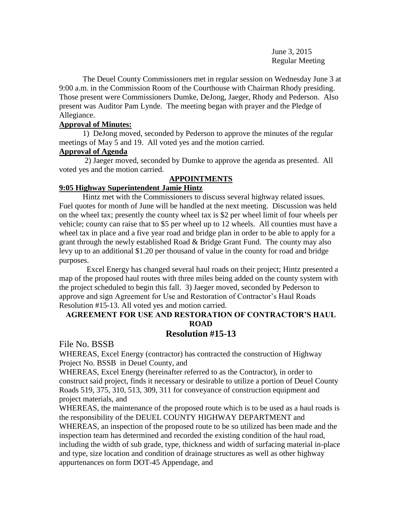June 3, 2015 Regular Meeting

The Deuel County Commissioners met in regular session on Wednesday June 3 at 9:00 a.m. in the Commission Room of the Courthouse with Chairman Rhody presiding. Those present were Commissioners Dumke, DeJong, Jaeger, Rhody and Pederson. Also present was Auditor Pam Lynde. The meeting began with prayer and the Pledge of Allegiance.

# **Approval of Minutes:**

1) DeJong moved, seconded by Pederson to approve the minutes of the regular meetings of May 5 and 19. All voted yes and the motion carried.

# **Approval of Agenda**

2) Jaeger moved, seconded by Dumke to approve the agenda as presented. All voted yes and the motion carried.

# **APPOINTMENTS**

# **9:05 Highway Superintendent Jamie Hintz**

Hintz met with the Commissioners to discuss several highway related issues. Fuel quotes for month of June will be handled at the next meeting. Discussion was held on the wheel tax; presently the county wheel tax is \$2 per wheel limit of four wheels per vehicle; county can raise that to \$5 per wheel up to 12 wheels. All counties must have a wheel tax in place and a five year road and bridge plan in order to be able to apply for a grant through the newly established Road & Bridge Grant Fund. The county may also levy up to an additional \$1.20 per thousand of value in the county for road and bridge purposes.

Excel Energy has changed several haul roads on their project; Hintz presented a map of the proposed haul routes with three miles being added on the county system with the project scheduled to begin this fall. 3) Jaeger moved, seconded by Pederson to approve and sign Agreement for Use and Restoration of Contractor's Haul Roads Resolution #15-13. All voted yes and motion carried.

# **AGREEMENT FOR USE AND RESTORATION OF CONTRACTOR'S HAUL ROAD**

# **Resolution #15-13**

File No. BSSB

WHEREAS, Excel Energy (contractor) has contracted the construction of Highway Project No. BSSB in Deuel County, and

WHEREAS, Excel Energy (hereinafter referred to as the Contractor), in order to construct said project, finds it necessary or desirable to utilize a portion of Deuel County Roads 519, 375, 310, 513, 309, 311 for conveyance of construction equipment and project materials, and

WHEREAS, the maintenance of the proposed route which is to be used as a haul roads is the responsibility of the DEUEL COUNTY HIGHWAY DEPARTMENT and WHEREAS, an inspection of the proposed route to be so utilized has been made and the inspection team has determined and recorded the existing condition of the haul road, including the width of sub grade, type, thickness and width of surfacing material in-place

and type, size location and condition of drainage structures as well as other highway appurtenances on form DOT-45 Appendage, and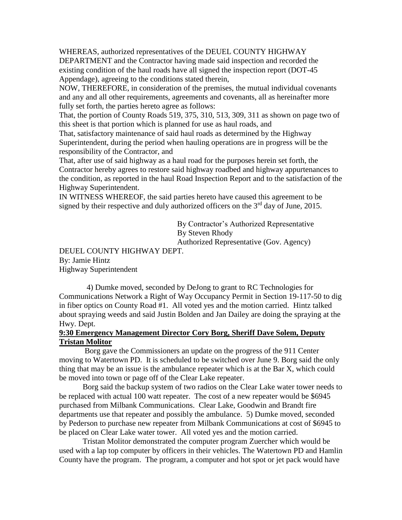WHEREAS, authorized representatives of the DEUEL COUNTY HIGHWAY DEPARTMENT and the Contractor having made said inspection and recorded the existing condition of the haul roads have all signed the inspection report (DOT-45 Appendage), agreeing to the conditions stated therein,

NOW, THEREFORE, in consideration of the premises, the mutual individual covenants and any and all other requirements, agreements and covenants, all as hereinafter more fully set forth, the parties hereto agree as follows:

That, the portion of County Roads 519, 375, 310, 513, 309, 311 as shown on page two of this sheet is that portion which is planned for use as haul roads, and

That, satisfactory maintenance of said haul roads as determined by the Highway Superintendent, during the period when hauling operations are in progress will be the responsibility of the Contractor, and

That, after use of said highway as a haul road for the purposes herein set forth, the Contractor hereby agrees to restore said highway roadbed and highway appurtenances to the condition, as reported in the haul Road Inspection Report and to the satisfaction of the Highway Superintendent.

IN WITNESS WHEREOF, the said parties hereto have caused this agreement to be signed by their respective and duly authorized officers on the 3<sup>rd</sup> day of June, 2015.

> By Contractor's Authorized Representative By Steven Rhody

Authorized Representative (Gov. Agency)

DEUEL COUNTY HIGHWAY DEPT. By: Jamie Hintz Highway Superintendent

 4) Dumke moved, seconded by DeJong to grant to RC Technologies for Communications Network a Right of Way Occupancy Permit in Section 19-117-50 to dig in fiber optics on County Road #1. All voted yes and the motion carried. Hintz talked about spraying weeds and said Justin Bolden and Jan Dailey are doing the spraying at the Hwy. Dept.

# **9:30 Emergency Management Director Cory Borg, Sheriff Dave Solem, Deputy Tristan Molitor**

Borg gave the Commissioners an update on the progress of the 911 Center moving to Watertown PD. It is scheduled to be switched over June 9. Borg said the only thing that may be an issue is the ambulance repeater which is at the Bar X, which could be moved into town or page off of the Clear Lake repeater.

Borg said the backup system of two radios on the Clear Lake water tower needs to be replaced with actual 100 watt repeater. The cost of a new repeater would be \$6945 purchased from Milbank Communications. Clear Lake, Goodwin and Brandt fire departments use that repeater and possibly the ambulance. 5) Dumke moved, seconded by Pederson to purchase new repeater from Milbank Communications at cost of \$6945 to be placed on Clear Lake water tower. All voted yes and the motion carried.

Tristan Molitor demonstrated the computer program Zuercher which would be used with a lap top computer by officers in their vehicles. The Watertown PD and Hamlin County have the program. The program, a computer and hot spot or jet pack would have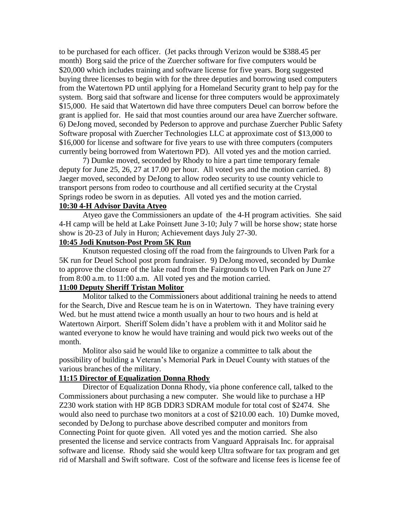to be purchased for each officer. (Jet packs through Verizon would be \$388.45 per month) Borg said the price of the Zuercher software for five computers would be \$20,000 which includes training and software license for five years. Borg suggested buying three licenses to begin with for the three deputies and borrowing used computers from the Watertown PD until applying for a Homeland Security grant to help pay for the system. Borg said that software and license for three computers would be approximately \$15,000. He said that Watertown did have three computers Deuel can borrow before the grant is applied for. He said that most counties around our area have Zuercher software. 6) DeJong moved, seconded by Pederson to approve and purchase Zuercher Public Safety Software proposal with Zuercher Technologies LLC at approximate cost of \$13,000 to \$16,000 for license and software for five years to use with three computers (computers currently being borrowed from Watertown PD). All voted yes and the motion carried.

7) Dumke moved, seconded by Rhody to hire a part time temporary female deputy for June 25, 26, 27 at 17.00 per hour. All voted yes and the motion carried. 8) Jaeger moved, seconded by DeJong to allow rodeo security to use county vehicle to transport persons from rodeo to courthouse and all certified security at the Crystal Springs rodeo be sworn in as deputies. All voted yes and the motion carried.

# **10:30 4-H Advisor Davita Atyeo**

Atyeo gave the Commissioners an update of the 4-H program activities. She said 4-H camp will be held at Lake Poinsett June 3-10; July 7 will be horse show; state horse show is 20-23 of July in Huron; Achievement days July 27-30.

# **10:45 Jodi Knutson-Post Prom 5K Run**

Knutson requested closing off the road from the fairgrounds to Ulven Park for a 5K run for Deuel School post prom fundraiser. 9) DeJong moved, seconded by Dumke to approve the closure of the lake road from the Fairgrounds to Ulven Park on June 27 from 8:00 a.m. to 11:00 a.m. All voted yes and the motion carried.

# **11:00 Deputy Sheriff Tristan Molitor**

Molitor talked to the Commissioners about additional training he needs to attend for the Search, Dive and Rescue team he is on in Watertown. They have training every Wed. but he must attend twice a month usually an hour to two hours and is held at Watertown Airport. Sheriff Solem didn't have a problem with it and Molitor said he wanted everyone to know he would have training and would pick two weeks out of the month.

Molitor also said he would like to organize a committee to talk about the possibility of building a Veteran's Memorial Park in Deuel County with statues of the various branches of the military.

#### **11:15 Director of Equalization Donna Rhody**

Director of Equalization Donna Rhody, via phone conference call, talked to the Commissioners about purchasing a new computer. She would like to purchase a HP Z230 work station with HP 8GB DDR3 SDRAM module for total cost of \$2474. She would also need to purchase two monitors at a cost of \$210.00 each. 10) Dumke moved, seconded by DeJong to purchase above described computer and monitors from Connecting Point for quote given. All voted yes and the motion carried. She also presented the license and service contracts from Vanguard Appraisals Inc. for appraisal software and license. Rhody said she would keep Ultra software for tax program and get rid of Marshall and Swift software. Cost of the software and license fees is license fee of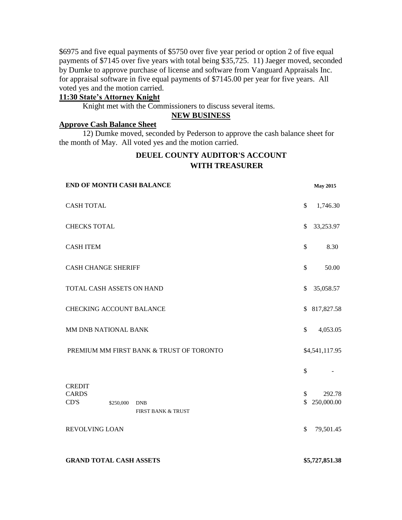\$6975 and five equal payments of \$5750 over five year period or option 2 of five equal payments of \$7145 over five years with total being \$35,725. 11) Jaeger moved, seconded by Dumke to approve purchase of license and software from Vanguard Appraisals Inc. for appraisal software in five equal payments of \$7145.00 per year for five years. All voted yes and the motion carried.

# **11:30 State's Attorney Knight**

Knight met with the Commissioners to discuss several items.

#### **NEW BUSINESS**

# **Approve Cash Balance Sheet**

12) Dumke moved, seconded by Pederson to approve the cash balance sheet for the month of May. All voted yes and the motion carried.

# **DEUEL COUNTY AUDITOR'S ACCOUNT WITH TREASURER**

| <b>END OF MONTH CASH BALANCE</b>         |           | <b>May 2015</b>    |  |              |                |
|------------------------------------------|-----------|--------------------|--|--------------|----------------|
| <b>CASH TOTAL</b>                        |           |                    |  |              | 1,746.30       |
| <b>CHECKS TOTAL</b>                      |           |                    |  |              | 33,253.97      |
| <b>CASH ITEM</b>                         |           |                    |  | \$           | 8.30           |
| <b>CASH CHANGE SHERIFF</b>               |           |                    |  |              | 50.00          |
| TOTAL CASH ASSETS ON HAND                |           |                    |  |              | 35,058.57      |
| <b>CHECKING ACCOUNT BALANCE</b>          |           |                    |  |              | \$ 817,827.58  |
| MM DNB NATIONAL BANK                     |           |                    |  |              | 4,053.05       |
| PREMIUM MM FIRST BANK & TRUST OF TORONTO |           |                    |  |              | \$4,541,117.95 |
|                                          |           |                    |  | \$           |                |
| <b>CREDIT</b><br><b>CARDS</b>            |           |                    |  | \$           | 292.78         |
| CD'S                                     | \$250,000 | <b>DNB</b>         |  | $\mathbb{S}$ | 250,000.00     |
|                                          |           | FIRST BANK & TRUST |  |              |                |
| REVOLVING LOAN                           |           |                    |  |              | 79,501.45      |
|                                          |           |                    |  |              |                |

#### **GRAND TOTAL CASH ASSETS \$5,727,851.38**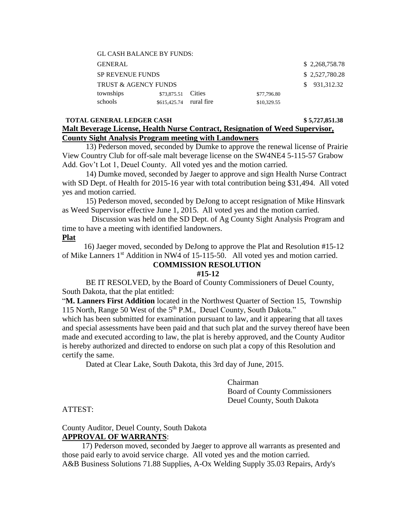| <b>GL CASH BALANCE BY FUNDS:</b> |                         |               |             |  |  |
|----------------------------------|-------------------------|---------------|-------------|--|--|
| <b>GENERAL</b>                   | \$2,268,758.78          |               |             |  |  |
| <b>SP REVENUE FUNDS</b>          | \$2,527,780.28          |               |             |  |  |
| <b>TRUST &amp; AGENCY FUNDS</b>  | \$931,312.32            |               |             |  |  |
| townships                        | \$73,875.51             | <b>Cities</b> | \$77,796.80 |  |  |
| schools                          | \$615,425.74 rural fire |               | \$10,329.55 |  |  |

#### **TOTAL GENERAL LEDGER CASH \$ 5,727,851.38 Malt Beverage License, Health Nurse Contract, Resignation of Weed Supervisor, County Sight Analysis Program meeting with Landowners**

13) Pederson moved, seconded by Dumke to approve the renewal license of Prairie View Country Club for off-sale malt beverage license on the SW4NE4 5-115-57 Grabow Add. Gov't Lot 1, Deuel County. All voted yes and the motion carried.

 14) Dumke moved, seconded by Jaeger to approve and sign Health Nurse Contract with SD Dept. of Health for 2015-16 year with total contribution being \$31,494. All voted yes and motion carried.

 15) Pederson moved, seconded by DeJong to accept resignation of Mike Hinsvark as Weed Supervisor effective June 1, 2015. All voted yes and the motion carried.

 Discussion was held on the SD Dept. of Ag County Sight Analysis Program and time to have a meeting with identified landowners.

#### **Plat**

 16) Jaeger moved, seconded by DeJong to approve the Plat and Resolution #15-12 of Mike Lanners 1<sup>st</sup> Addition in NW4 of 15-115-50. All voted yes and motion carried.

#### **COMMISSION RESOLUTION**

#### **#15-12**

BE IT RESOLVED, by the Board of County Commissioners of Deuel County, South Dakota, that the plat entitled:

"**M. Lanners First Addition** located in the Northwest Quarter of Section 15, Township 115 North, Range 50 West of the 5th P.M., Deuel County, South Dakota."

which has been submitted for examination pursuant to law, and it appearing that all taxes and special assessments have been paid and that such plat and the survey thereof have been made and executed according to law, the plat is hereby approved, and the County Auditor is hereby authorized and directed to endorse on such plat a copy of this Resolution and certify the same.

Dated at Clear Lake, South Dakota, this 3rd day of June, 2015.

Chairman Board of County Commissioners Deuel County, South Dakota

ATTEST:

# County Auditor, Deuel County, South Dakota **APPROVAL OF WARRANTS**:

 17) Pederson moved, seconded by Jaeger to approve all warrants as presented and those paid early to avoid service charge. All voted yes and the motion carried. A&B Business Solutions 71.88 Supplies, A-Ox Welding Supply 35.03 Repairs, Ardy's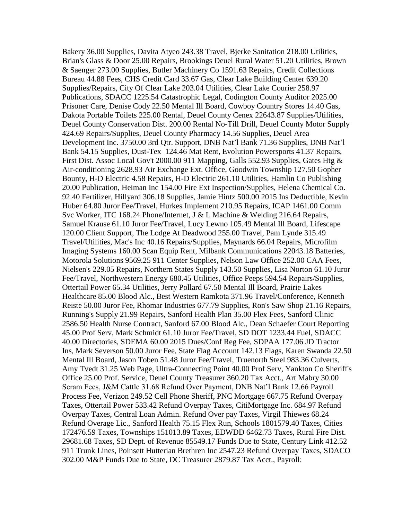Bakery 36.00 Supplies, Davita Atyeo 243.38 Travel, Bjerke Sanitation 218.00 Utilities, Brian's Glass & Door 25.00 Repairs, Brookings Deuel Rural Water 51.20 Utilities, Brown & Saenger 273.00 Supplies, Butler Machinery Co 1591.63 Repairs, Credit Collections Bureau 44.88 Fees, CHS Credit Card 33.67 Gas, Clear Lake Building Center 639.20 Supplies/Repairs, City Of Clear Lake 203.04 Utilities, Clear Lake Courier 258.97 Publications, SDACC 1225.54 Catastrophic Legal, Codington County Auditor 2025.00 Prisoner Care, Denise Cody 22.50 Mental Ill Board, Cowboy Country Stores 14.40 Gas, Dakota Portable Toilets 225.00 Rental, Deuel County Cenex 22643.87 Supplies/Utilities, Deuel County Conservation Dist. 200.00 Rental No-Till Drill, Deuel County Motor Supply 424.69 Repairs/Supplies, Deuel County Pharmacy 14.56 Supplies, Deuel Area Development Inc. 3750.00 3rd Qtr. Support, DNB Nat'l Bank 71.36 Supplies, DNB Nat'l Bank 54.15 Supplies, Dust-Tex 124.46 Mat Rent, Evolution Powersports 41.37 Repairs, First Dist. Assoc Local Gov't 2000.00 911 Mapping, Galls 552.93 Supplies, Gates Htg & Air-conditioning 2628.93 Air Exchange Ext. Office, Goodwin Township 127.50 Gopher Bounty, H-D Electric 4.58 Repairs, H-D Electric 261.10 Utilities, Hamlin Co Publishing 20.00 Publication, Heiman Inc 154.00 Fire Ext Inspection/Supplies, Helena Chemical Co. 92.40 Fertilizer, Hillyard 306.18 Supplies, Jamie Hintz 500.00 2015 Ins Deductible, Kevin Huber 64.80 Juror Fee/Travel, Hurkes Implement 210.95 Repairs, ICAP 1461.00 Comm Svc Worker, ITC 168.24 Phone/Internet, J & L Machine & Welding 216.64 Repairs, Samuel Krause 61.10 Juror Fee/Travel, Lucy Lewno 105.49 Mental Ill Board, Lifescape 120.00 Client Support, The Lodge At Deadwood 255.00 Travel, Pam Lynde 315.49 Travel/Utilities, Mac's Inc 40.16 Repairs/Supplies, Maynards 66.04 Repairs, Microfilm Imaging Systems 160.00 Scan Equip Rent, Milbank Communications 22043.18 Batteries, Motorola Solutions 9569.25 911 Center Supplies, Nelson Law Office 252.00 CAA Fees, Nielsen's 229.05 Repairs, Northern States Supply 143.50 Supplies, Lisa Norton 61.10 Juror Fee/Travel, Northwestern Energy 680.45 Utilities, Office Peeps 594.54 Repairs/Supplies, Ottertail Power 65.34 Utilities, Jerry Pollard 67.50 Mental Ill Board, Prairie Lakes Healthcare 85.00 Blood Alc., Best Western Ramkota 371.96 Travel/Conference, Kenneth Reiste 50.00 Juror Fee, Rhomar Industries 677.79 Supplies, Ron's Saw Shop 21.16 Repairs, Running's Supply 21.99 Repairs, Sanford Health Plan 35.00 Flex Fees, Sanford Clinic 2586.50 Health Nurse Contract, Sanford 67.00 Blood Alc., Dean Schaefer Court Reporting 45.00 Prof Serv, Mark Schmidt 61.10 Juror Fee/Travel, SD DOT 1233.44 Fuel, SDACC 40.00 Directories, SDEMA 60.00 2015 Dues/Conf Reg Fee, SDPAA 177.06 JD Tractor Ins, Mark Severson 50.00 Juror Fee, State Flag Account 142.13 Flags, Karen Swanda 22.50 Mental Ill Board, Jason Toben 51.48 Juror Fee/Travel, Truenorth Steel 983.36 Culverts, Amy Tvedt 31.25 Web Page, Ultra-Connecting Point 40.00 Prof Serv, Yankton Co Sheriff's Office 25.00 Prof. Service, Deuel County Treasurer 360.20 Tax Acct., Art Mabry 30.00 Scram Fees, J&M Cattle 31.68 Refund Over Payment, DNB Nat'l Bank 12.66 Payroll Process Fee, Verizon 249.52 Cell Phone Sheriff, PNC Mortgage 667.75 Refund Overpay Taxes, Ottertail Power 533.42 Refund Overpay Taxes, CitiMortgage Inc. 684.97 Refund Overpay Taxes, Central Loan Admin. Refund Over pay Taxes, Virgil Thiewes 68.24 Refund Overage Lic., Sanford Health 75.15 Flex Run, Schools 1801579.40 Taxes, Cities 172476.59 Taxes, Townships 151013.89 Taxes, EDWDD 6462.73 Taxes, Rural Fire Dist. 29681.68 Taxes, SD Dept. of Revenue 85549.17 Funds Due to State, Century Link 412.52 911 Trunk Lines, Poinsett Hutterian Brethren Inc 2547.23 Refund Overpay Taxes, SDACO 302.00 M&P Funds Due to State, DC Treasurer 2879.87 Tax Acct., Payroll: